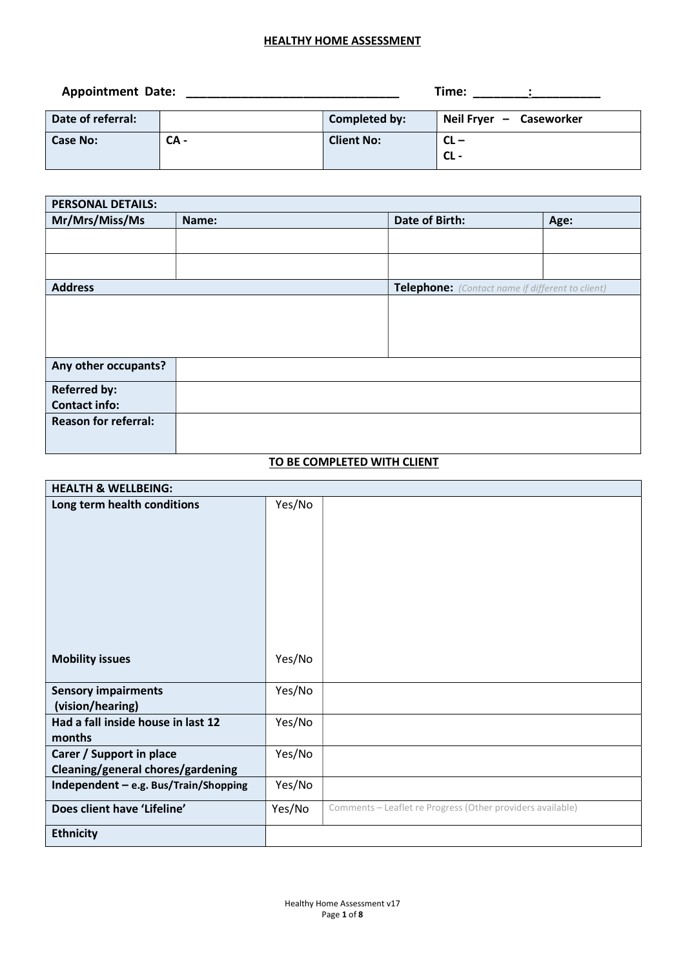| <b>Appointment Date:</b> |        |                   | Time:                   |
|--------------------------|--------|-------------------|-------------------------|
| Date of referral:        |        | Completed by:     | Neil Fryer - Caseworker |
| Case No:                 | $CA -$ | <b>Client No:</b> | $CL -$<br>CL -          |

| <b>PERSONAL DETAILS:</b>    |       |  |                |                                                  |  |
|-----------------------------|-------|--|----------------|--------------------------------------------------|--|
| Mr/Mrs/Miss/Ms              | Name: |  | Date of Birth: | Age:                                             |  |
|                             |       |  |                |                                                  |  |
|                             |       |  |                |                                                  |  |
|                             |       |  |                |                                                  |  |
| <b>Address</b>              |       |  |                | Telephone: (Contact name if different to client) |  |
|                             |       |  |                |                                                  |  |
|                             |       |  |                |                                                  |  |
|                             |       |  |                |                                                  |  |
|                             |       |  |                |                                                  |  |
| Any other occupants?        |       |  |                |                                                  |  |
| <b>Referred by:</b>         |       |  |                |                                                  |  |
| <b>Contact info:</b>        |       |  |                |                                                  |  |
| <b>Reason for referral:</b> |       |  |                |                                                  |  |
|                             |       |  |                |                                                  |  |
|                             |       |  |                |                                                  |  |

## TO BE COMPLETED WITH CLIENT

| <b>HEALTH &amp; WELLBEING:</b>                                |        |                                                            |
|---------------------------------------------------------------|--------|------------------------------------------------------------|
| Long term health conditions                                   | Yes/No |                                                            |
| <b>Mobility issues</b>                                        | Yes/No |                                                            |
| <b>Sensory impairments</b><br>(vision/hearing)                | Yes/No |                                                            |
| Had a fall inside house in last 12<br>months                  | Yes/No |                                                            |
| Carer / Support in place<br>Cleaning/general chores/gardening | Yes/No |                                                            |
| Independent - e.g. Bus/Train/Shopping                         | Yes/No |                                                            |
| Does client have 'Lifeline'                                   | Yes/No | Comments - Leaflet re Progress (Other providers available) |
| <b>Ethnicity</b>                                              |        |                                                            |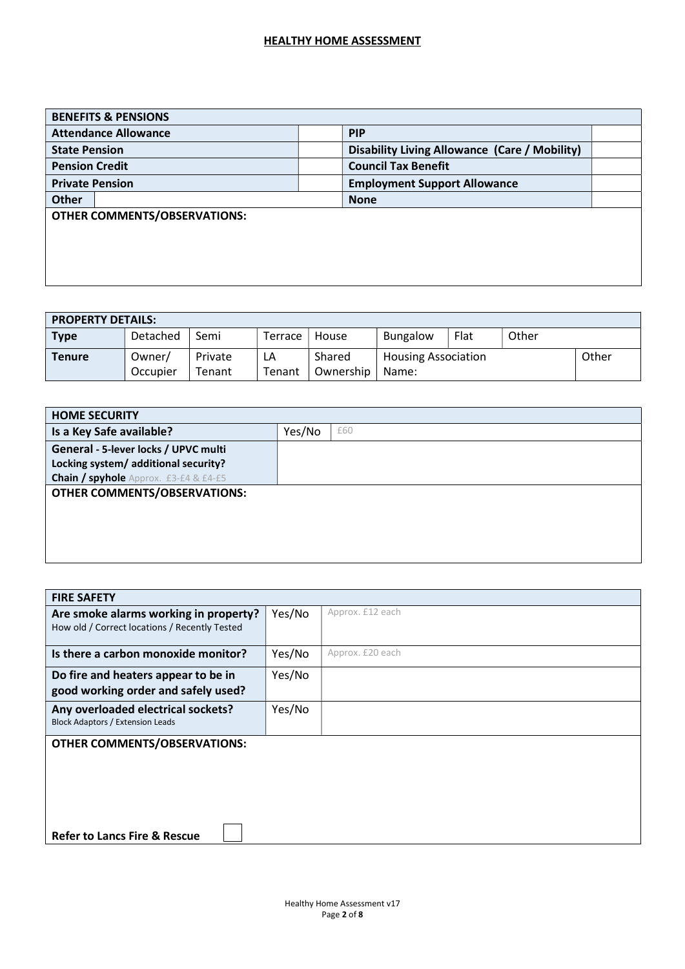| <b>BENEFITS &amp; PENSIONS</b>      |                                               |  |  |
|-------------------------------------|-----------------------------------------------|--|--|
| <b>Attendance Allowance</b>         | <b>PIP</b>                                    |  |  |
| <b>State Pension</b>                | Disability Living Allowance (Care / Mobility) |  |  |
| <b>Pension Credit</b>               | <b>Council Tax Benefit</b>                    |  |  |
| <b>Private Pension</b>              | <b>Employment Support Allowance</b>           |  |  |
| <b>Other</b>                        | <b>None</b>                                   |  |  |
| <b>OTHER COMMENTS/OBSERVATIONS:</b> |                                               |  |  |
|                                     |                                               |  |  |
|                                     |                                               |  |  |
|                                     |                                               |  |  |
|                                     |                                               |  |  |

| <b>PROPERTY DETAILS:</b> |                    |                   |              |                     |                                     |      |       |       |
|--------------------------|--------------------|-------------------|--------------|---------------------|-------------------------------------|------|-------|-------|
| <b>Type</b>              | Detached           | Semi              | Terrace      | House               | Bungalow                            | Flat | Other |       |
| <b>Tenure</b>            | Owner/<br>Occupier | Private<br>Tenant | LA<br>Tenant | Shared<br>Ownership | <b>Housing Association</b><br>Name: |      |       | Other |

| <b>HOME SECURITY</b>                         |        |     |  |
|----------------------------------------------|--------|-----|--|
| Is a Key Safe available?                     | Yes/No | £60 |  |
| General - 5-lever locks / UPVC multi         |        |     |  |
| Locking system/ additional security?         |        |     |  |
| <b>Chain / spyhole</b> Approx. £3-£4 & £4-£5 |        |     |  |
| <b>OTHER COMMENTS/OBSERVATIONS:</b>          |        |     |  |
|                                              |        |     |  |
|                                              |        |     |  |
|                                              |        |     |  |
|                                              |        |     |  |
|                                              |        |     |  |

| <b>FIRE SAFETY</b>                                                                     |        |                  |  |  |  |
|----------------------------------------------------------------------------------------|--------|------------------|--|--|--|
| Are smoke alarms working in property?<br>How old / Correct locations / Recently Tested | Yes/No | Approx. £12 each |  |  |  |
| Is there a carbon monoxide monitor?                                                    | Yes/No | Approx. £20 each |  |  |  |
| Do fire and heaters appear to be in<br>good working order and safely used?             | Yes/No |                  |  |  |  |
| Any overloaded electrical sockets?<br><b>Block Adaptors / Extension Leads</b>          | Yes/No |                  |  |  |  |
| <b>OTHER COMMENTS/OBSERVATIONS:</b>                                                    |        |                  |  |  |  |
| <b>Refer to Lancs Fire &amp; Rescue</b>                                                |        |                  |  |  |  |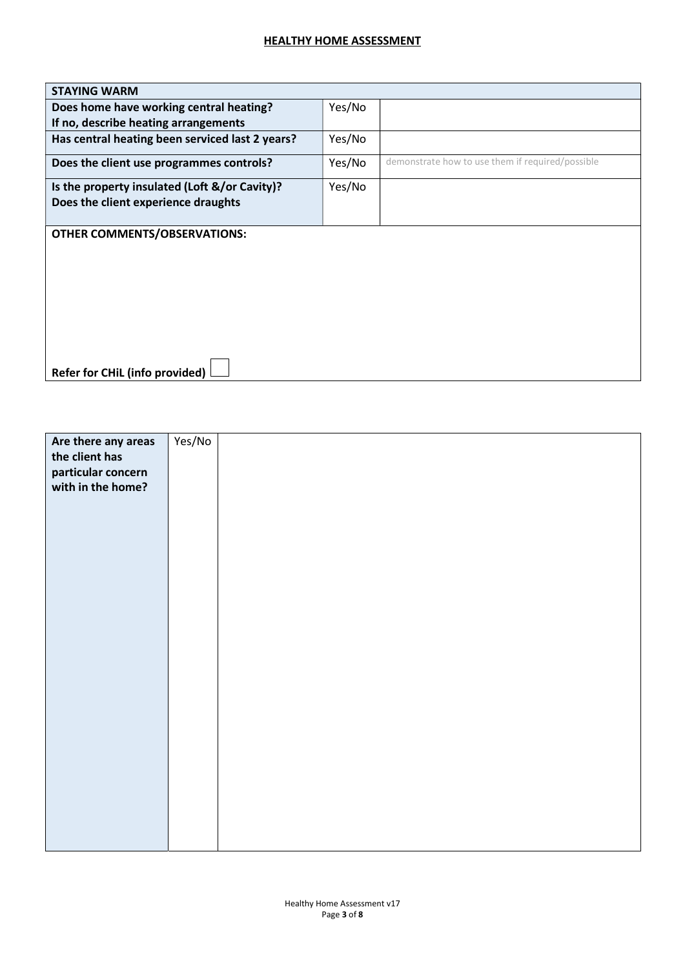| <b>STAYING WARM</b>                             |        |                                                  |
|-------------------------------------------------|--------|--------------------------------------------------|
| Does home have working central heating?         | Yes/No |                                                  |
| If no, describe heating arrangements            |        |                                                  |
| Has central heating been serviced last 2 years? | Yes/No |                                                  |
| Does the client use programmes controls?        | Yes/No | demonstrate how to use them if required/possible |
| Is the property insulated (Loft &/or Cavity)?   | Yes/No |                                                  |
| Does the client experience draughts             |        |                                                  |
|                                                 |        |                                                  |
| <b>OTHER COMMENTS/OBSERVATIONS:</b>             |        |                                                  |
|                                                 |        |                                                  |
|                                                 |        |                                                  |
|                                                 |        |                                                  |
|                                                 |        |                                                  |
|                                                 |        |                                                  |
|                                                 |        |                                                  |
|                                                 |        |                                                  |
|                                                 |        |                                                  |
| <b>Refer for CHiL (info provided)</b>           |        |                                                  |

| Are there any areas | Yes/No |  |
|---------------------|--------|--|
| the client has      |        |  |
|                     |        |  |
| particular concern  |        |  |
| with in the home?   |        |  |
|                     |        |  |
|                     |        |  |
|                     |        |  |
|                     |        |  |
|                     |        |  |
|                     |        |  |
|                     |        |  |
|                     |        |  |
|                     |        |  |
|                     |        |  |
|                     |        |  |
|                     |        |  |
|                     |        |  |
|                     |        |  |
|                     |        |  |
|                     |        |  |
|                     |        |  |
|                     |        |  |
|                     |        |  |
|                     |        |  |
|                     |        |  |
|                     |        |  |
|                     |        |  |
|                     |        |  |
|                     |        |  |
|                     |        |  |
|                     |        |  |
|                     |        |  |
|                     |        |  |
|                     |        |  |
|                     |        |  |
|                     |        |  |
|                     |        |  |
|                     |        |  |
|                     |        |  |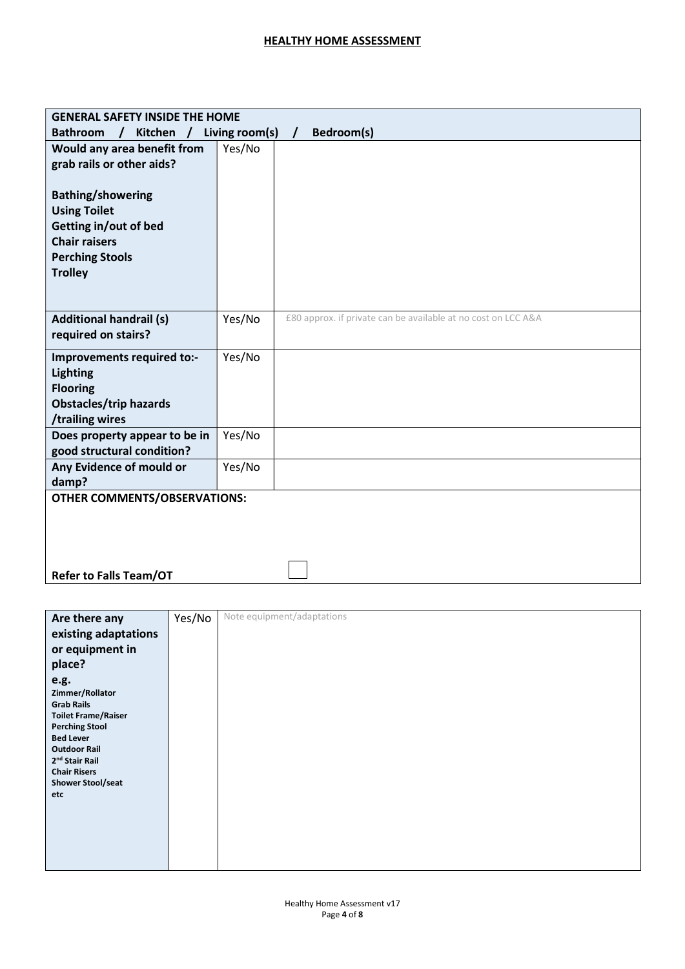| <b>GENERAL SAFETY INSIDE THE HOME</b>                                                                                                        |        |                                                               |  |  |  |
|----------------------------------------------------------------------------------------------------------------------------------------------|--------|---------------------------------------------------------------|--|--|--|
| <b>Bathroom</b><br>Kitchen / Living room(s)<br>$\prime$                                                                                      |        | Bedroom(s)                                                    |  |  |  |
| Would any area benefit from                                                                                                                  | Yes/No |                                                               |  |  |  |
| grab rails or other aids?                                                                                                                    |        |                                                               |  |  |  |
| <b>Bathing/showering</b><br><b>Using Toilet</b><br>Getting in/out of bed<br><b>Chair raisers</b><br><b>Perching Stools</b><br><b>Trolley</b> |        |                                                               |  |  |  |
| <b>Additional handrail (s)</b><br>required on stairs?                                                                                        | Yes/No | £80 approx. if private can be available at no cost on LCC A&A |  |  |  |
| Improvements required to:-<br><b>Lighting</b><br><b>Flooring</b><br><b>Obstacles/trip hazards</b><br>/trailing wires                         | Yes/No |                                                               |  |  |  |
| Does property appear to be in<br>good structural condition?                                                                                  | Yes/No |                                                               |  |  |  |
| Any Evidence of mould or<br>damp?                                                                                                            | Yes/No |                                                               |  |  |  |
| <b>OTHER COMMENTS/OBSERVATIONS:</b>                                                                                                          |        |                                                               |  |  |  |
| <b>Refer to Falls Team/OT</b>                                                                                                                |        |                                                               |  |  |  |

| Are there any                                                                                                                                                                                                                   | Yes/No | Note equipment/adaptations |
|---------------------------------------------------------------------------------------------------------------------------------------------------------------------------------------------------------------------------------|--------|----------------------------|
| existing adaptations                                                                                                                                                                                                            |        |                            |
| or equipment in                                                                                                                                                                                                                 |        |                            |
| place?                                                                                                                                                                                                                          |        |                            |
| e.g.<br>Zimmer/Rollator<br><b>Grab Rails</b><br><b>Toilet Frame/Raiser</b><br><b>Perching Stool</b><br><b>Bed Lever</b><br><b>Outdoor Rail</b><br>2 <sup>nd</sup> Stair Rail<br><b>Chair Risers</b><br>Shower Stool/seat<br>etc |        |                            |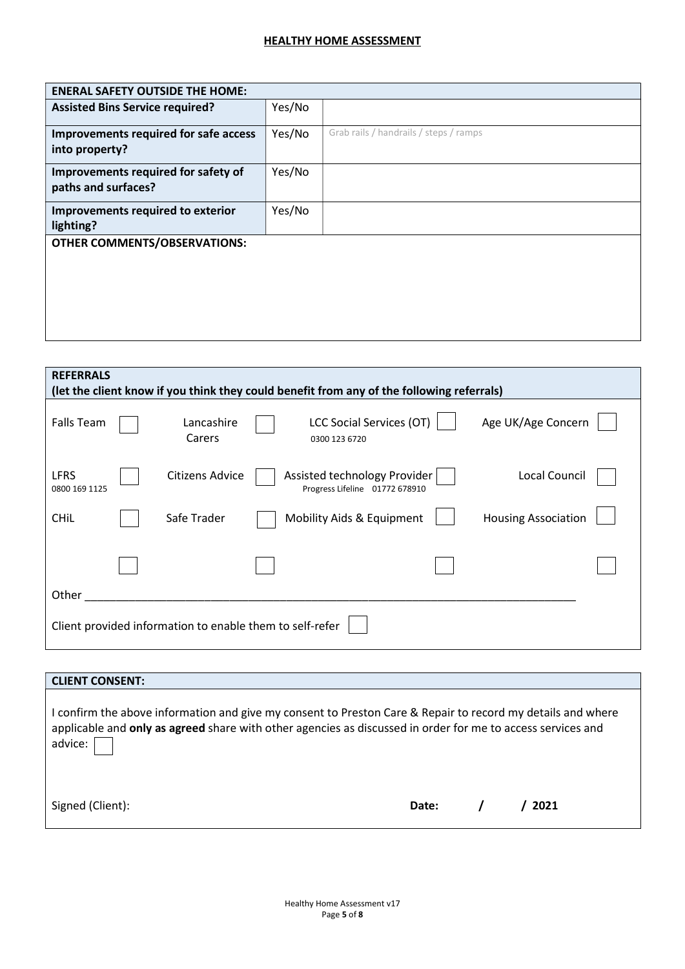| <b>ENERAL SAFETY OUTSIDE THE HOME:</b>                     |        |                                        |  |  |  |
|------------------------------------------------------------|--------|----------------------------------------|--|--|--|
| <b>Assisted Bins Service required?</b>                     | Yes/No |                                        |  |  |  |
| Improvements required for safe access<br>into property?    | Yes/No | Grab rails / handrails / steps / ramps |  |  |  |
| Improvements required for safety of<br>paths and surfaces? | Yes/No |                                        |  |  |  |
| Improvements required to exterior<br>lighting?             | Yes/No |                                        |  |  |  |
| <b>OTHER COMMENTS/OBSERVATIONS:</b>                        |        |                                        |  |  |  |

| <b>REFERRALS</b><br>(let the client know if you think they could benefit from any of the following referrals) |  |                      |                                                                                 |  |  |  |  |
|---------------------------------------------------------------------------------------------------------------|--|----------------------|---------------------------------------------------------------------------------|--|--|--|--|
| <b>Falls Team</b>                                                                                             |  | Lancashire<br>Carers | LCC Social Services (OT)<br>Age UK/Age Concern<br>0300 123 6720                 |  |  |  |  |
| <b>LFRS</b><br>0800 169 1125                                                                                  |  | Citizens Advice      | Local Council<br>Assisted technology Provider<br>Progress Lifeline 01772 678910 |  |  |  |  |
| <b>CHIL</b>                                                                                                   |  | Safe Trader          | <b>Housing Association</b><br>Mobility Aids & Equipment                         |  |  |  |  |
|                                                                                                               |  |                      |                                                                                 |  |  |  |  |
| Other                                                                                                         |  |                      |                                                                                 |  |  |  |  |
| Client provided information to enable them to self-refer                                                      |  |                      |                                                                                 |  |  |  |  |

| <b>CLIENT CONSENT:</b>                                                                                                                                                                                                                |       |      |
|---------------------------------------------------------------------------------------------------------------------------------------------------------------------------------------------------------------------------------------|-------|------|
| I confirm the above information and give my consent to Preston Care & Repair to record my details and where<br>applicable and only as agreed share with other agencies as discussed in order for me to access services and<br>advice: |       |      |
| Signed (Client):                                                                                                                                                                                                                      | Date: | 2021 |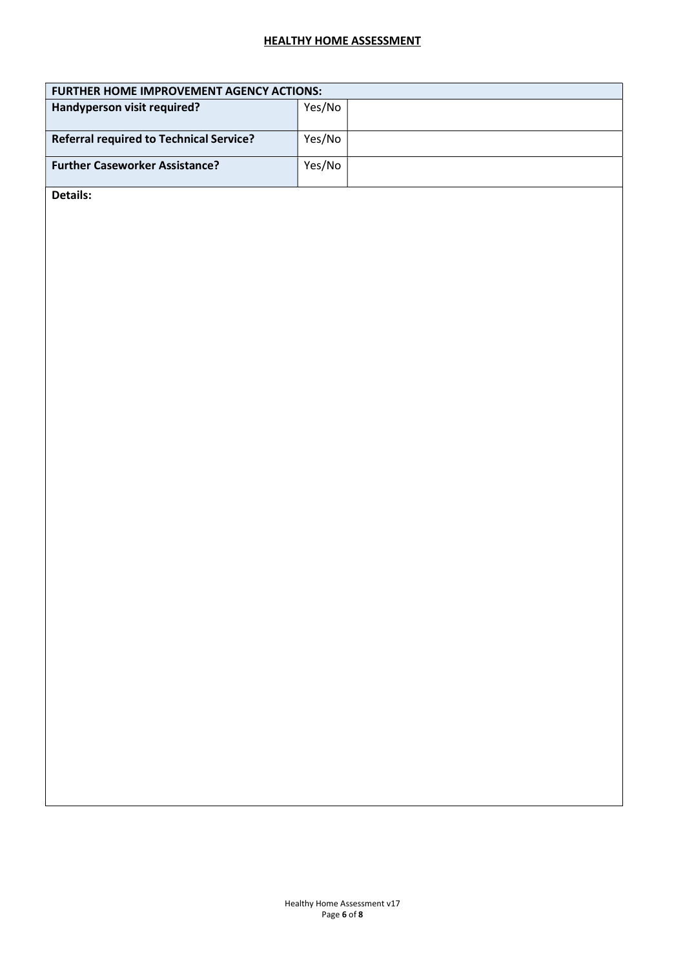| <b>FURTHER HOME IMPROVEMENT AGENCY ACTIONS:</b> |        |  |  |
|-------------------------------------------------|--------|--|--|
| Handyperson visit required?                     | Yes/No |  |  |
| <b>Referral required to Technical Service?</b>  | Yes/No |  |  |
| <b>Further Caseworker Assistance?</b>           | Yes/No |  |  |

Details: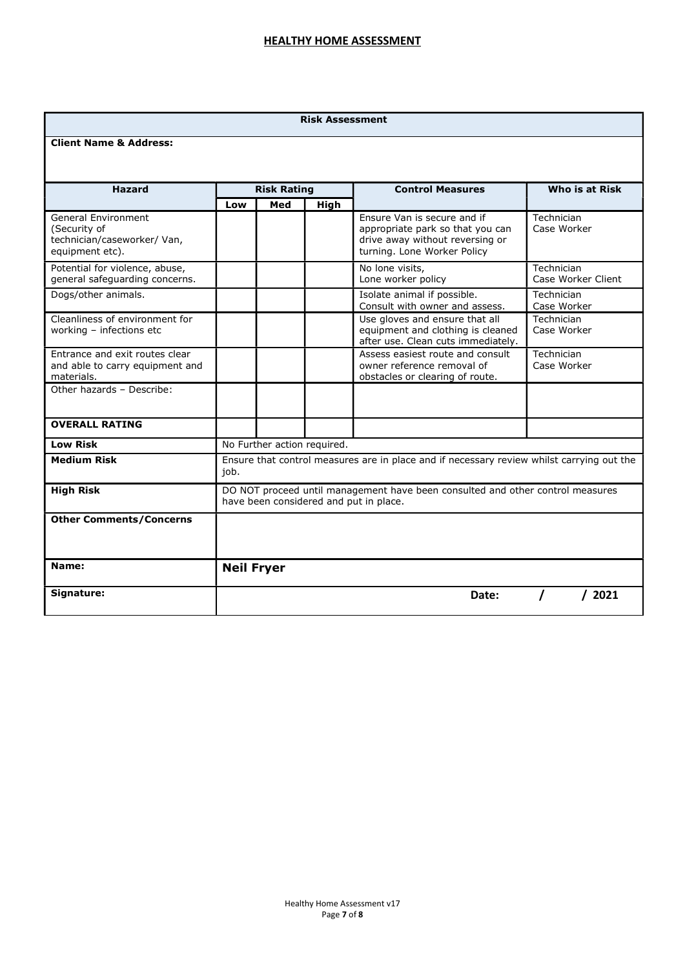#### Risk Assessment

#### Client Name & Address:

| <b>Hazard</b>                                                                         | <b>Risk Rating</b>                                                                                                       |     |             | <b>Control Measures</b>                                                                                                           | Who is at Risk                   |  |
|---------------------------------------------------------------------------------------|--------------------------------------------------------------------------------------------------------------------------|-----|-------------|-----------------------------------------------------------------------------------------------------------------------------------|----------------------------------|--|
|                                                                                       | Low                                                                                                                      | Med | <b>High</b> |                                                                                                                                   |                                  |  |
| General Environment<br>(Security of<br>technician/caseworker/ Van,<br>equipment etc). |                                                                                                                          |     |             | Ensure Van is secure and if<br>appropriate park so that you can<br>drive away without reversing or<br>turning. Lone Worker Policy | Technician<br>Case Worker        |  |
| Potential for violence, abuse,<br>general safeguarding concerns.                      |                                                                                                                          |     |             | No lone visits,<br>Lone worker policy                                                                                             | Technician<br>Case Worker Client |  |
| Dogs/other animals.                                                                   |                                                                                                                          |     |             | Isolate animal if possible.<br>Consult with owner and assess.                                                                     | Technician<br>Case Worker        |  |
| Cleanliness of environment for<br>working - infections etc                            |                                                                                                                          |     |             | Use gloves and ensure that all<br>equipment and clothing is cleaned<br>after use. Clean cuts immediately.                         | Technician<br>Case Worker        |  |
| Entrance and exit routes clear<br>and able to carry equipment and<br>materials.       |                                                                                                                          |     |             | Assess easiest route and consult<br>owner reference removal of<br>obstacles or clearing of route.                                 | Technician<br>Case Worker        |  |
| Other hazards - Describe:                                                             |                                                                                                                          |     |             |                                                                                                                                   |                                  |  |
| <b>OVERALL RATING</b>                                                                 |                                                                                                                          |     |             |                                                                                                                                   |                                  |  |
| <b>Low Risk</b>                                                                       | No Further action required.                                                                                              |     |             |                                                                                                                                   |                                  |  |
| <b>Medium Risk</b>                                                                    | Ensure that control measures are in place and if necessary review whilst carrying out the<br>job.                        |     |             |                                                                                                                                   |                                  |  |
| <b>High Risk</b>                                                                      | DO NOT proceed until management have been consulted and other control measures<br>have been considered and put in place. |     |             |                                                                                                                                   |                                  |  |
| <b>Other Comments/Concerns</b>                                                        |                                                                                                                          |     |             |                                                                                                                                   |                                  |  |
| Name:                                                                                 | <b>Neil Fryer</b>                                                                                                        |     |             |                                                                                                                                   |                                  |  |
| Signature:                                                                            |                                                                                                                          |     |             | Date:                                                                                                                             | 2021                             |  |